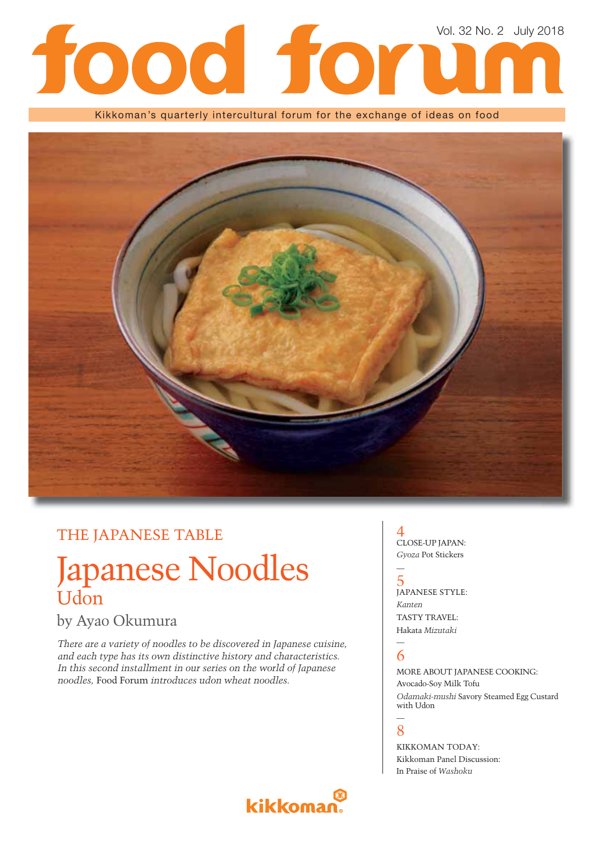# Vol. 32 No. 2 July 2018

Kikkoman's quarterly intercultural forum for the exchange of ideas on food



## THE JAPANESE TABLE

# Japanese Noodles **Udon**

## by Ayao Okumura

*There are a variety of noodles to be discovered in Japanese cuisine, and each type has its own distinctive history and characteristics. In this second installment in our series on the world of Japanese noodles,* Food Forum *introduces udon wheat noodles.*

### 4 CLOSE-UP JAPAN: *Gyoza* Pot Stickers

5 JAPANESE STYLE: *Kanten* TASTY TRAVEL: Hakata *Mizutaki*

#### — 6

—

MORE ABOUT JAPANESE COOKING: Avocado-Soy Milk Tofu *Odamaki-mushi* Savory Steamed Egg Custard with Udon

#### — 8

KIKKOMAN TODAY: Kikkoman Panel Discussion: In Praise of *Washoku*

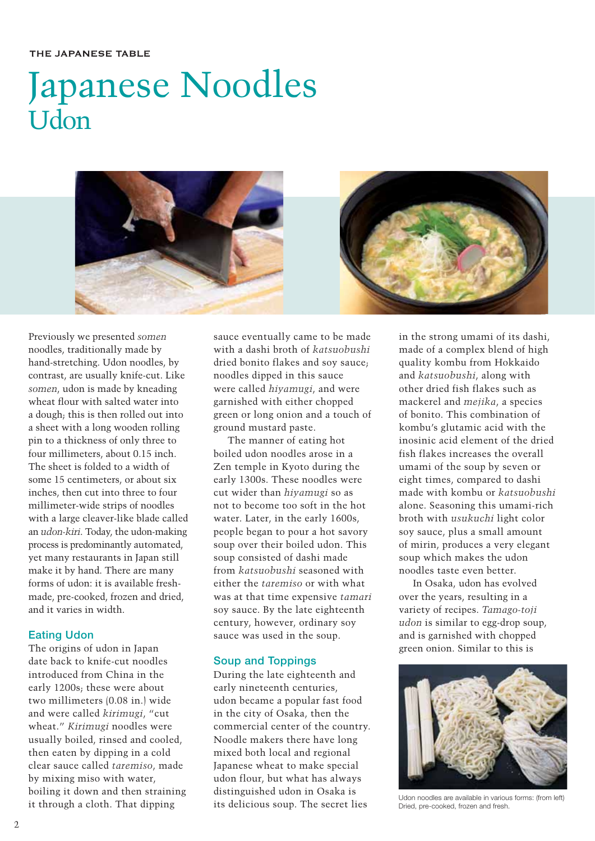#### THE JAPANESE TABLE

# Japanese Noodles Udon



Previously we presented *somen* noodles, traditionally made by hand-stretching. Udon noodles, by contrast, are usually knife-cut. Like *somen*, udon is made by kneading wheat flour with salted water into a dough; this is then rolled out into a sheet with a long wooden rolling pin to a thickness of only three to four millimeters, about 0.15 inch. The sheet is folded to a width of some 15 centimeters, or about six inches, then cut into three to four millimeter-wide strips of noodles with a large cleaver-like blade called an *udon-kiri*. Today, the udon-making process is predominantly automated, yet many restaurants in Japan still make it by hand. There are many forms of udon: it is available freshmade, pre-cooked, frozen and dried, and it varies in width.

#### **Eating Udon**

The origins of udon in Japan date back to knife-cut noodles introduced from China in the early 1200s; these were about two millimeters (0.08 in.) wide and were called *kirimugi*, "cut wheat." *Kirimugi* noodles were usually boiled, rinsed and cooled, then eaten by dipping in a cold clear sauce called *taremiso*, made by mixing miso with water, boiling it down and then straining it through a cloth. That dipping

sauce eventually came to be made with a dashi broth of *katsuobushi* dried bonito flakes and soy sauce; noodles dipped in this sauce were called *hiyamugi*, and were garnished with either chopped green or long onion and a touch of ground mustard paste.

The manner of eating hot boiled udon noodles arose in a Zen temple in Kyoto during the early 1300s. These noodles were cut wider than *hiyamugi* so as not to become too soft in the hot water. Later, in the early 1600s, people began to pour a hot savory soup over their boiled udon. This soup consisted of dashi made from *katsuobushi* seasoned with either the *taremiso* or with what was at that time expensive *tamari* soy sauce. By the late eighteenth century, however, ordinary soy sauce was used in the soup.

#### **Soup and Toppings**

During the late eighteenth and early nineteenth centuries, udon became a popular fast food in the city of Osaka, then the commercial center of the country. Noodle makers there have long mixed both local and regional Japanese wheat to make special udon flour, but what has always distinguished udon in Osaka is its delicious soup. The secret lies

in the strong umami of its dashi, made of a complex blend of high quality kombu from Hokkaido and *katsuobushi*, along with other dried fish flakes such as mackerel and *mejika*, a species of bonito. This combination of kombu's glutamic acid with the inosinic acid element of the dried fish flakes increases the overall umami of the soup by seven or eight times, compared to dashi made with kombu or *katsuobushi* alone. Seasoning this umami-rich broth with *usukuchi* light color soy sauce, plus a small amount of mirin, produces a very elegant soup which makes the udon noodles taste even better.

In Osaka, udon has evolved over the years, resulting in a variety of recipes. *Tamago-toji udon* is similar to egg-drop soup, and is garnished with chopped green onion. Similar to this is



Udon noodles are available in various forms: (from left) Dried, pre-cooked, frozen and fresh.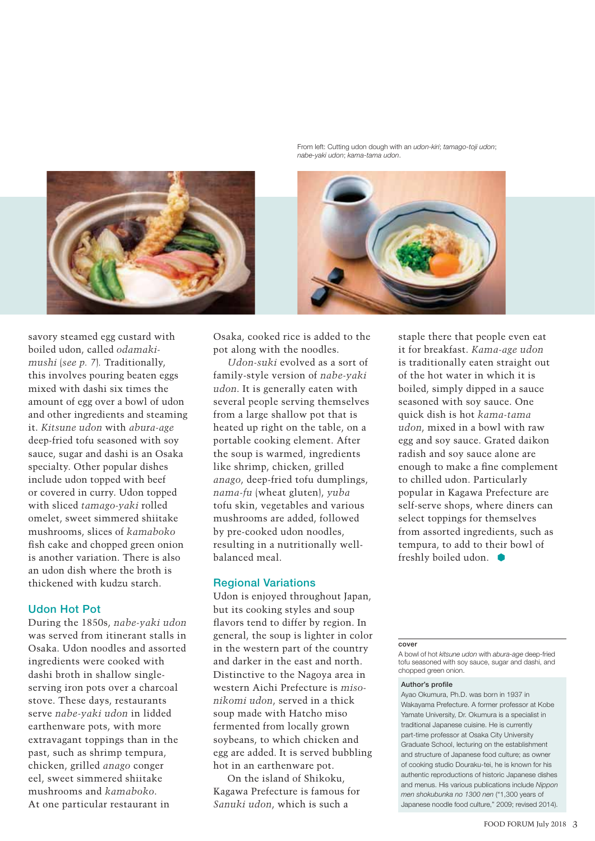

From left: Cutting udon dough with an *udon-kiri*; *tamago-toji udon*; *nabe-yaki udon*; *kama-tama udon*.



savory steamed egg custard with boiled udon, called *odamakimushi* (*see p. 7*)*.* Traditionally, this involves pouring beaten eggs mixed with dashi six times the amount of egg over a bowl of udon and other ingredients and steaming it. *Kitsune udon* with *abura-age* deep-fried tofu seasoned with soy sauce, sugar and dashi is an Osaka specialty. Other popular dishes include udon topped with beef or covered in curry. Udon topped with sliced *tamago-yaki* rolled omelet, sweet simmered shiitake mushrooms, slices of *kamaboko* fish cake and chopped green onion is another variation. There is also an udon dish where the broth is thickened with kudzu starch.

#### **Udon Hot Pot**

During the 1850s, *nabe-yaki udon* was served from itinerant stalls in Osaka. Udon noodles and assorted ingredients were cooked with dashi broth in shallow singleserving iron pots over a charcoal stove. These days, restaurants serve *nabe-yaki udon* in lidded earthenware pots, with more extravagant toppings than in the past, such as shrimp tempura, chicken, grilled *anago* conger eel, sweet simmered shiitake mushrooms and *kamaboko*. At one particular restaurant in

Osaka, cooked rice is added to the pot along with the noodles.

*Udon-suki* evolved as a sort of family-style version of *nabe-yaki udon*. It is generally eaten with several people serving themselves from a large shallow pot that is heated up right on the table, on a portable cooking element. After the soup is warmed, ingredients like shrimp, chicken, grilled *anago*, deep-fried tofu dumplings, *nama-fu* (wheat gluten), *yuba* tofu skin, vegetables and various mushrooms are added, followed by pre-cooked udon noodles, resulting in a nutritionally wellbalanced meal.

#### **Regional Variations**

Udon is enjoyed throughout Japan, but its cooking styles and soup flavors tend to differ by region. In general, the soup is lighter in color in the western part of the country and darker in the east and north. Distinctive to the Nagoya area in western Aichi Prefecture is *misonikomi udon*, served in a thick soup made with Hatcho miso fermented from locally grown soybeans, to which chicken and egg are added. It is served bubbling hot in an earthenware pot.

On the island of Shikoku, Kagawa Prefecture is famous for *Sanuki udon*, which is such a

staple there that people even eat it for breakfast. *Kama-age udon* is traditionally eaten straight out of the hot water in which it is boiled, simply dipped in a sauce seasoned with soy sauce. One quick dish is hot *kama-tama udon*, mixed in a bowl with raw egg and soy sauce. Grated daikon radish and soy sauce alone are enough to make a fine complement to chilled udon. Particularly popular in Kagawa Prefecture are self-serve shops, where diners can select toppings for themselves from assorted ingredients, such as tempura, to add to their bowl of freshly boiled udon.

#### **cover**

A bowl of hot *kitsune udon* with *abura-age* deep-fried tofu seasoned with soy sauce, sugar and dashi, and chopped green onion.

#### **Author's profile**

Ayao Okumura, Ph.D. was born in 1937 in Wakayama Prefecture. A former professor at Kobe Yamate University, Dr. Okumura is a specialist in traditional Japanese cuisine. He is currently part-time professor at Osaka City University Graduate School, lecturing on the establishment and structure of Japanese food culture; as owner of cooking studio Douraku-tei, he is known for his authentic reproductions of historic Japanese dishes and menus. His various publications include *Nippon men shokubunka no 1300 nen* ("1,300 years of Japanese noodle food culture," 2009; revised 2014).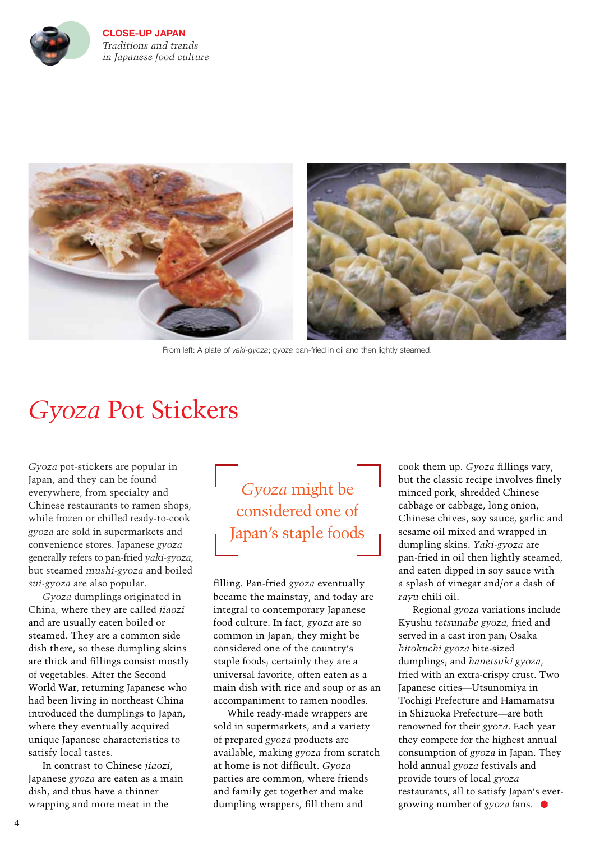

**CLOSE-UP JAPAN** *Traditions and trends in Japanese food culture* 



From left: A plate of *yaki-gyoza*; *gyoza* pan-fried in oil and then lightly steamed.

# *Gyoza* Pot Stickers

*Gyoza* pot-stickers are popular in Japan, and they can be found everywhere, from specialty and Chinese restaurants to ramen shops, while frozen or chilled ready-to-cook *gyoza* are sold in supermarkets and convenience stores. Japanese *gyoza* generally refers to pan-fried *yaki-gyoza*, but steamed *mushi-gyoza* and boiled *sui-gyoza* are also popular.

*Gyoza* dumplings originated in China, where they are called *jiaozi* and are usually eaten boiled or steamed. They are a common side dish there, so these dumpling skins are thick and fillings consist mostly of vegetables. After the Second World War, returning Japanese who had been living in northeast China introduced the dumplings to Japan, where they eventually acquired unique Japanese characteristics to satisfy local tastes.

In contrast to Chinese *jiaozi*, Japanese *gyoza* are eaten as a main dish, and thus have a thinner wrapping and more meat in the

# *Gyoza* might be considered one of Japan's staple foods

fi lling. Pan-fried *gyoza* eventually became the mainstay, and today are integral to contemporary Japanese food culture. In fact, *gyoza* are so common in Japan, they might be considered one of the country's staple foods; certainly they are a universal favorite, often eaten as a main dish with rice and soup or as an accompaniment to ramen noodles.

While ready-made wrappers are sold in supermarkets, and a variety of prepared *gyoza* products are available, making *gyoza* from scratch at home is not difficult. *Gyoza* parties are common, where friends and family get together and make dumpling wrappers, fill them and

cook them up. *Gyoza* fillings vary, but the classic recipe involves finely minced pork, shredded Chinese cabbage or cabbage, long onion, Chinese chives, soy sauce, garlic and sesame oil mixed and wrapped in dumpling skins. *Yaki-gyoza* are pan-fried in oil then lightly steamed, and eaten dipped in soy sauce with a splash of vinegar and/or a dash of *rayu* chili oil.

Regional *gyoza* variations include Kyushu *tetsunabe gyoza,* fried and served in a cast iron pan; Osaka *hitokuchi gyoza* bite-sized dumplings; and *hanetsuki gyoza*, fried with an extra-crispy crust. Two Japanese cities—Utsunomiya in Tochigi Prefecture and Hamamatsu in Shizuoka Prefecture—are both renowned for their *gyoza*. Each year they compete for the highest annual consumption of *gyoza* in Japan. They hold annual *gyoza* festivals and provide tours of local *gyoza*  restaurants, all to satisfy Japan's evergrowing number of *gyoza* fans.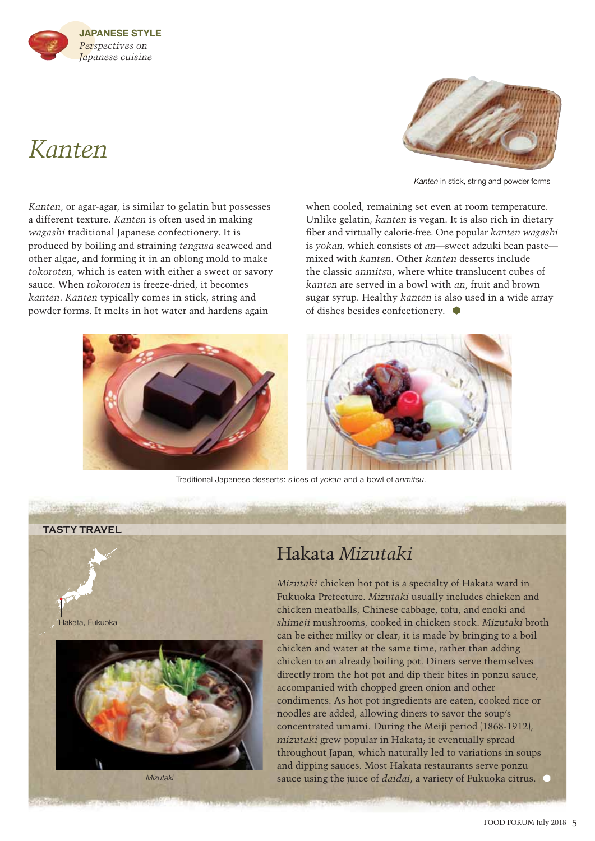# *Kanten*



*Kanten* in stick, string and powder forms

*Kanten*, or agar-agar, is similar to gelatin but possesses a different texture. *Kanten* is often used in making *wagashi* traditional Japanese confectionery. It is produced by boiling and straining *tengusa* seaweed and other algae, and forming it in an oblong mold to make *tokoroten*, which is eaten with either a sweet or savory sauce. When *tokoroten* is freeze-dried, it becomes *kanten*. *Kanten* typically comes in stick, string and powder forms. It melts in hot water and hardens again



Unlike gelatin, *kanten* is vegan. It is also rich in dietary fi ber and virtually calorie-free. One popular *kanten wagashi* is *yokan,* which consists of *an*—sweet adzuki bean paste mixed with *kanten*. Other *kanten* desserts include the classic *anmitsu*, where white translucent cubes of *kanten* are served in a bowl with *an*, fruit and brown sugar syrup. Healthy *kanten* is also used in a wide array of dishes besides confectionery.

when cooled, remaining set even at room temperature.



Traditional Japanese desserts: slices of *yokan* and a bowl of *anmitsu*.





## Hakata *Mizutaki*

*Mizutaki* chicken hot pot is a specialty of Hakata ward in Fukuoka Prefecture. *Mizutaki* usually includes chicken and chicken meatballs, Chinese cabbage, tofu, and enoki and *shimeji* mushrooms, cooked in chicken stock. *Mizutaki* broth can be either milky or clear; it is made by bringing to a boil chicken and water at the same time, rather than adding chicken to an already boiling pot. Diners serve themselves directly from the hot pot and dip their bites in ponzu sauce, accompanied with chopped green onion and other condiments. As hot pot ingredients are eaten, cooked rice or noodles are added, allowing diners to savor the soup's concentrated umami. During the Meiji period (1868-1912), *mizutaki* grew popular in Hakata; it eventually spread throughout Japan, which naturally led to variations in soups and dipping sauces. Most Hakata restaurants serve ponzu sauce using the juice of *daidai*, a variety of Fukuoka citrus.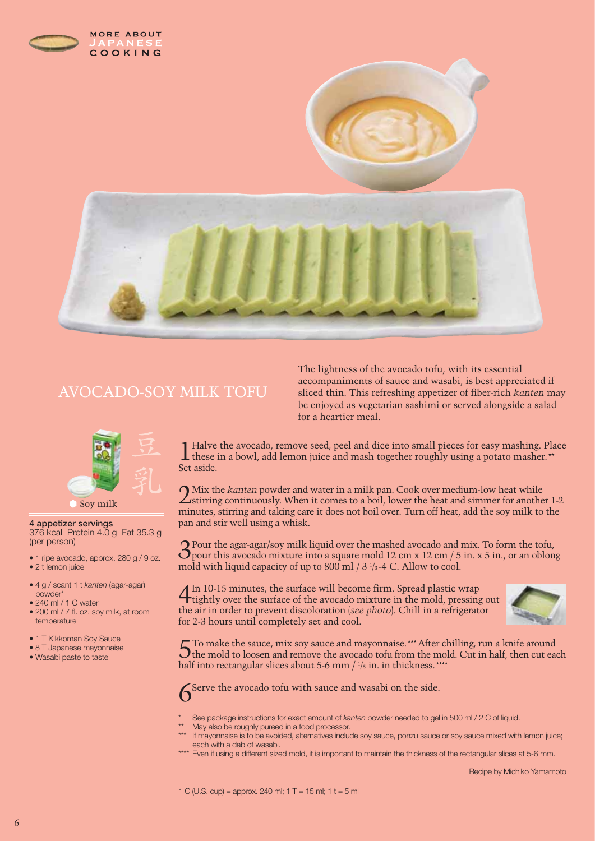

## AVOCADO-SOY MILK TOFU



#### Soy milk

**4 appetizer servings** 376 kcal Protein 4.0 g Fat 35.3 g (per person)

- 1 ripe avocado, approx. 280 g / 9 oz. • 2 t lemon juice
- 4 g / scant 1 t *kanten* (agar-agar) powder\*
- 240 ml / 1 C water
- 200 ml / 7 fl. oz. soy milk, at room temperature
- 1 T Kikkoman Soy Sauce
- 8 T Japanese mayonnaise
- Wasabi paste to taste

The lightness of the avocado tofu, with its essential accompaniments of sauce and wasabi, is best appreciated if sliced thin. This refreshing appetizer of fiber-rich *kanten* may be enjoyed as vegetarian sashimi or served alongside a salad for a heartier meal.

1 Halve the avocado, remove seed, peel and dice into small pieces for easy mashing. Place these in a bowl, add lemon juice and mash together roughly using a potato masher.\*\* Set aside.

2 Mix the *kanten* powder and water in a milk pan. Cook over medium-low heat while<br>stirring continuously. When it comes to a boil, lower the heat and simmer for another 1-2 minutes, stirring and taking care it does not boil over. Turn off heat, add the soy milk to the pan and stir well using a whisk.

 $3$ Pour the agar-agar/soy milk liquid over the mashed avocado and mix. To form the tofu,  $3$ pour this avocado mixture into a square mold 12 cm x 12 cm / 5 in. x 5 in., or an oblong mold with liquid capacity of up to 800 ml  $/$  3  $\frac{1}{3}$ -4 C. Allow to cool.

4 In 10-15 minutes, the surface will become firm. Spread plastic wrap tightly over the surface of the avocado mixture in the mold, pressing out the air in order to prevent discoloration (*see photo*). Chill in a refrigerator for 2-3 hours until completely set and cool.



5To make the sauce, mix soy sauce and mayonnaise.\*\*\* After chilling, run a knife around the mold to loosen and remove the avocado tofu from the mold. Cut in half, then cut each half into rectangular slices about 5-6 mm  $/ \frac{1}{5}$  in. in thickness.\*\*\*\*



\* See package instructions for exact amount of *kanten* powder needed to gel in 500 ml / 2 C of liquid.

- May also be roughly pureed in a food processor.
- If mayonnaise is to be avoided, alternatives include soy sauce, ponzu sauce or soy sauce mixed with lemon juice; each with a dab of wasabi.
- \*\*\*\* Even if using a different sized mold, it is important to maintain the thickness of the rectangular slices at 5-6 mm.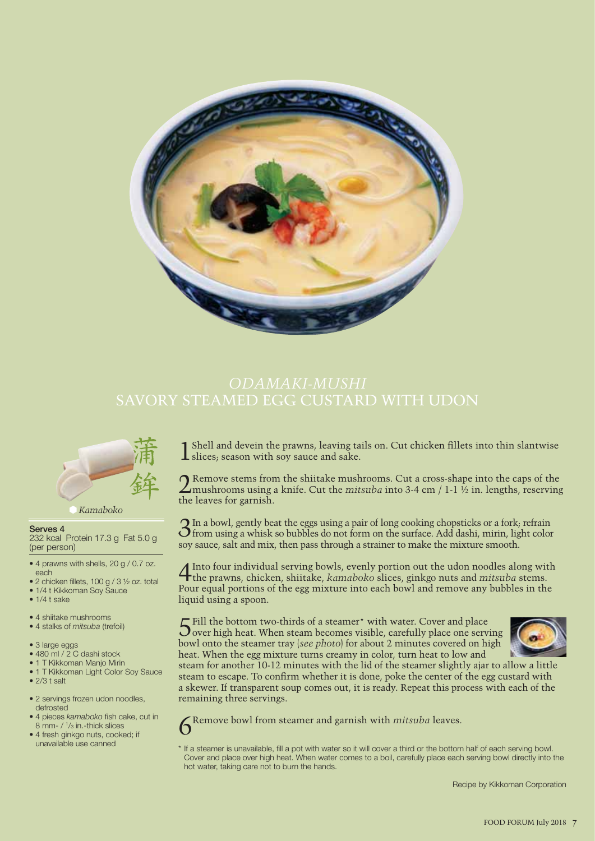

# SAVORY STEAMED EGG CUSTARD WITH UDON



*Kamaboko*

#### **Serves 4**

232 kcal Protein 17.3 g Fat 5.0 g (per person)

- 4 prawns with shells, 20 g / 0.7 oz. each
- 2 chicken fillets, 100 g / 3 ½ oz. total
- 1/4 t Kikkoman Soy Sauce
- 1/4 t sake
- 4 shiitake mushrooms
- 4 stalks of *mitsuba* (trefoil)
- 3 large eggs
- 480 ml / 2 C dashi stock
- 1 T Kikkoman Manjo Mirin
- 1 T Kikkoman Light Color Soy Sauce
- $\bullet$  2/3 t salt
- 2 servings frozen udon noodles, defrosted
- 4 pieces *kamaboko* fish cake, cut in 8 mm- / 1/3 in.-thick slices
- 4 fresh ginkgo nuts, cooked; if unavailable use canned

Shell and devein the prawns, leaving tails on. Cut chicken fillets into thin slantwise  $\perp$  slices; season with sov sauce and sake.

2 Remove stems from the shiitake mushrooms. Cut a cross-shape into the caps of the mushrooms using a knife. Cut the *mitsuba* into 3-4 cm / 1-1 ½ in. lengths, reserving the leaves for garnish.

3In a bowl, gently beat the eggs using a pair of long cooking chopsticks or a fork; refrain from using a whisk so bubbles do not form on the surface. Add dashi, mirin, light color soy sauce, salt and mix, then pass through a strainer to make the mixture smooth.

4Into four individual serving bowls, evenly portion out the udon noodles along with the prawns, chicken, shiitake, *kamaboko* slices, ginkgo nuts and *mitsuba* stems. Pour equal portions of the egg mixture into each bowl and remove any bubbles in the liquid using a spoon.

5Fill the bottom two-thirds of a steamer\* with water. Cover and place over high heat. When steam becomes visible, carefully place one serving bowl onto the steamer tray (*see photo*) for about 2 minutes covered on high heat. When the egg mixture turns creamy in color, turn heat to low and



steam for another 10-12 minutes with the lid of the steamer slightly ajar to allow a little steam to escape. To confirm whether it is done, poke the center of the egg custard with a skewer. If transparent soup comes out, it is ready. Repeat this process with each of the remaining three servings.

Remove bowl from steamer and garnish with *mitsuba* leaves.

\* If a steamer is unavailable, fill a pot with water so it will cover a third or the bottom half of each serving bowl. Cover and place over high heat. When water comes to a boil, carefully place each serving bowl directly into the hot water, taking care not to burn the hands.

Recipe by Kikkoman Corporation